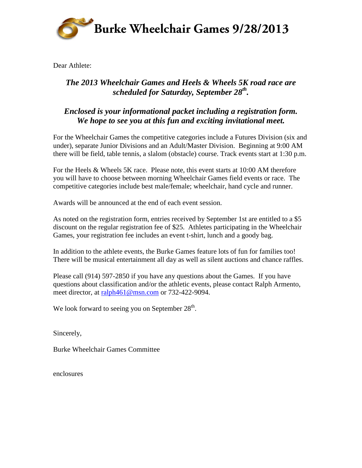

Dear Athlete:

### *The 2013 Wheelchair Games and Heels & Wheels 5K road race are scheduled for Saturday, September 28th.*

### *Enclosed is your informational packet including a registration form. We hope to see you at this fun and exciting invitational meet.*

For the Wheelchair Games the competitive categories include a Futures Division (six and under), separate Junior Divisions and an Adult/Master Division. Beginning at 9:00 AM there will be field, table tennis, a slalom (obstacle) course. Track events start at 1:30 p.m.

For the Heels & Wheels 5K race. Please note, this event starts at 10:00 AM therefore you will have to choose between morning Wheelchair Games field events or race. The competitive categories include best male/female; wheelchair, hand cycle and runner.

Awards will be announced at the end of each event session.

As noted on the registration form, entries received by September 1st are entitled to a \$5 discount on the regular registration fee of \$25. Athletes participating in the Wheelchair Games, your registration fee includes an event t-shirt, lunch and a goody bag.

In addition to the athlete events, the Burke Games feature lots of fun for families too! There will be musical entertainment all day as well as silent auctions and chance raffles.

Please call (914) 597-2850 if you have any questions about the Games. If you have questions about classification and/or the athletic events, please contact Ralph Armento, meet director, at ralph461@msn.com or 732-422-9094.

We look forward to seeing you on September  $28<sup>th</sup>$ .

Sincerely,

Burke Wheelchair Games Committee

enclosures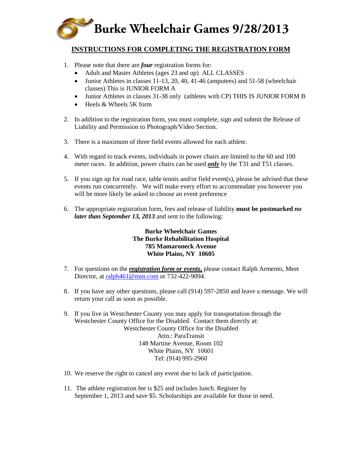

#### **INSTRUCTIONS FOR COMPLETING THE REGISTRATION FORM**

- 1. Please note that there are *four* registration forms for:
	- Adult and Master Athletes (ages 23 and up) ALL CLASSES
	- Junior Athletes in classes 11-13, 20, 40, 41-46 (amputees) and 51-58 (wheelchair classes) This is JUNIOR FORM A
	- Junior Athletes in classes 31-38 only (athletes with CP) THIS IS JUNIOR FORM B
	- Heels & Wheels 5K form
- 2. In addition to the registration form, you must complete, sign and submit the Release of Liability and Permission to Photograph/Video Section.
- 3. There is a maximum of three field events allowed for each athlete.
- 4. With regard to track events, individuals in power chairs are limited to the 60 and 100 meter races. In addition, power chairs can be used *only* by the T31 and T51 classes.
- 5. If you sign up for road race, table tennis and/or field event(s), please be advised that these events run concurrently. We will make every effort to accommodate you however you will be more likely be asked to choose an event preference
- 6. The appropriate registration form, fees and release of liability **must be postmarked** *no later than September 13, 2013* and sent to the following:

#### **Burke Wheelchair Games The Burke Rehabilitation Hospital 785 Mamaroneck Avenue White Plains, NY 10605**

- 7. For questions on the *registration form or events***,** please contact Ralph Armento, Meet Director, at ralph461@msn.com or 732-422-9094.
- 8. If you have any other questions, please call (914) 597-2850 and leave a message. We will return your call as soon as possible.
- 9. If you live in Westchester County you may apply for transportation through the Westchester County Office for the Disabled. Contact them directly at: Westchester County Office for the Disabled Attn.: ParaTransit 148 Martine Avenue, Room 102 White Plains, NY 10601 Tel: (914) 995-2960
- 10. We reserve the right to cancel any event due to lack of participation.
- 11. The athlete registration fee is \$25 and includes lunch. Register by September 1, 2013 and save \$5. Scholarships are available for those in need.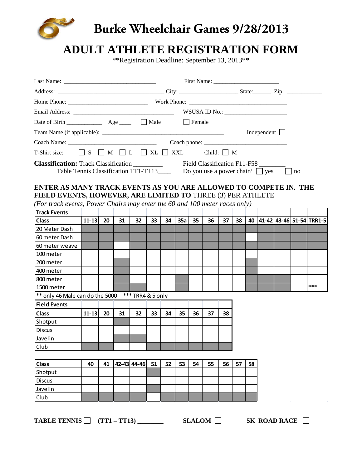

# **Burke Wheelchair Games 9/28/2013**

# **ADULT ATHLETE REGISTRATION FORM**

\*\*Registration Deadline: September 13, 2013\*\*

|                                                                                                                                                     |           |    |    |             |    |    |     |    |    |    |    |    | Independent $\Box$ |         |                             |
|-----------------------------------------------------------------------------------------------------------------------------------------------------|-----------|----|----|-------------|----|----|-----|----|----|----|----|----|--------------------|---------|-----------------------------|
|                                                                                                                                                     |           |    |    |             |    |    |     |    |    |    |    |    |                    |         |                             |
|                                                                                                                                                     |           |    |    |             |    |    |     |    |    |    |    |    |                    |         |                             |
| T-Shirt size: $\Box$ S $\Box$ M $\Box$ L $\Box$ XL $\Box$ XXL Child: $\Box$ M                                                                       |           |    |    |             |    |    |     |    |    |    |    |    |                    |         |                             |
| Table Tennis Classification TT1-TT13______ Do you use a power chair? $\Box$ yes<br>ENTER AS MANY TRACK EVENTS AS YOU ARE ALLOWED TO COMPETE IN. THE |           |    |    |             |    |    |     |    |    |    |    |    |                    | $\ln 0$ |                             |
| FIELD EVENTS, HOWEVER, ARE LIMITED TO THREE (3) PER ATHLETE                                                                                         |           |    |    |             |    |    |     |    |    |    |    |    |                    |         |                             |
| (For track events, Power Chairs may enter the 60 and 100 meter races only)                                                                          |           |    |    |             |    |    |     |    |    |    |    |    |                    |         |                             |
| <b>Track Events</b>                                                                                                                                 |           |    |    |             |    |    |     |    |    |    |    |    |                    |         |                             |
| <b>Class</b>                                                                                                                                        | $11 - 13$ | 20 | 31 | 32          | 33 | 34 | 35a | 35 | 36 | 37 | 38 |    |                    |         | 40 41-42 43-46 51-54 TRR1-5 |
| 20 Meter Dash                                                                                                                                       |           |    |    |             |    |    |     |    |    |    |    |    |                    |         |                             |
| 60 meter Dash                                                                                                                                       |           |    |    |             |    |    |     |    |    |    |    |    |                    |         |                             |
| 60 meter weave                                                                                                                                      |           |    |    |             |    |    |     |    |    |    |    |    |                    |         |                             |
| l 100 meter                                                                                                                                         |           |    |    |             |    |    |     |    |    |    |    |    |                    |         |                             |
| l200 meter                                                                                                                                          |           |    |    |             |    |    |     |    |    |    |    |    |                    |         |                             |
| l400 meter<br>800 meter                                                                                                                             |           |    |    |             |    |    |     |    |    |    |    |    |                    |         |                             |
| 1500 meter                                                                                                                                          |           |    |    |             |    |    |     |    |    |    |    |    |                    |         | ***                         |
| ** only 46 Male can do the 5000 *** TRR4 & 5 only                                                                                                   |           |    |    |             |    |    |     |    |    |    |    |    |                    |         |                             |
| <b>Field Events</b>                                                                                                                                 |           |    |    |             |    |    |     |    |    |    |    |    |                    |         |                             |
| <b>Class</b>                                                                                                                                        | $11 - 13$ | 20 | 31 | 32          | 33 | 34 | 35  | 36 | 37 | 38 |    |    |                    |         |                             |
| Shotput                                                                                                                                             |           |    |    |             |    |    |     |    |    |    |    |    |                    |         |                             |
| <b>Discus</b>                                                                                                                                       |           |    |    |             |    |    |     |    |    |    |    |    |                    |         |                             |
| Javelin                                                                                                                                             |           |    |    |             |    |    |     |    |    |    |    |    |                    |         |                             |
| Club                                                                                                                                                |           |    |    |             |    |    |     |    |    |    |    |    |                    |         |                             |
|                                                                                                                                                     |           |    |    |             |    |    |     |    |    |    |    |    |                    |         |                             |
| <b>Class</b>                                                                                                                                        | 40        | 41 |    | 42-43 44-46 | 51 | 52 | 53  | 54 | 55 | 56 | 57 | 58 |                    |         |                             |
| Shotput                                                                                                                                             |           |    |    |             |    |    |     |    |    |    |    |    |                    |         |                             |
| <b>Discus</b>                                                                                                                                       |           |    |    |             |    |    |     |    |    |    |    |    |                    |         |                             |
| Javelin                                                                                                                                             |           |    |    |             |    |    |     |    |    |    |    |    |                    |         |                             |
| Club                                                                                                                                                |           |    |    |             |    |    |     |    |    |    |    |    |                    |         |                             |

**TABLE TENNIS (TT1 – TT13) \_\_\_\_\_\_\_\_ SLALOM 5K ROAD RACE**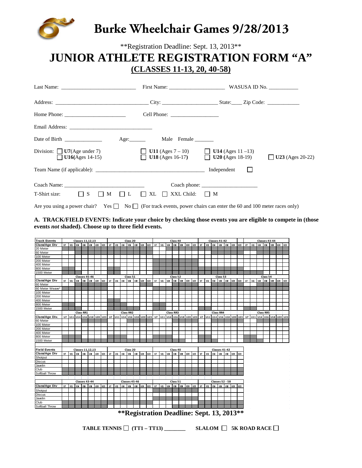

\*\*Registration Deadline: Sept. 13, 2013\*\*

# **JUNIOR ATHLETE REGISTRATION FORM "A" (CLASSES 11-13, 20, 40-58)**

| Last Name: $\frac{1}{\sqrt{1-\frac{1}{2}}}\left\{ \frac{1}{2} + \frac{1}{2} \frac{1}{2} + \frac{1}{2} \frac{1}{2} + \frac{1}{2} \frac{1}{2} + \frac{1}{2} \frac{1}{2} + \frac{1}{2} \frac{1}{2} + \frac{1}{2} \frac{1}{2} + \frac{1}{2} \frac{1}{2} + \frac{1}{2} \frac{1}{2} + \frac{1}{2} \frac{1}{2} + \frac{1}{2} \frac{1}{2} + \frac{1}{2} \frac{1}{2} + \frac{1}{2} \frac{1}{2} + \$                       |                                                                | First Name: WASUSA ID No.                                              |                             |
|------------------------------------------------------------------------------------------------------------------------------------------------------------------------------------------------------------------------------------------------------------------------------------------------------------------------------------------------------------------------------------------------------------------|----------------------------------------------------------------|------------------------------------------------------------------------|-----------------------------|
|                                                                                                                                                                                                                                                                                                                                                                                                                  |                                                                |                                                                        |                             |
| Home Phone: $\frac{1}{\sqrt{1-\frac{1}{2}}}\left\{ \frac{1}{2}, \frac{1}{2}, \frac{1}{2}, \frac{1}{2}, \frac{1}{2}, \frac{1}{2}, \frac{1}{2}, \frac{1}{2}, \frac{1}{2}, \frac{1}{2}, \frac{1}{2}, \frac{1}{2}, \frac{1}{2}, \frac{1}{2}, \frac{1}{2}, \frac{1}{2}, \frac{1}{2}, \frac{1}{2}, \frac{1}{2}, \frac{1}{2}, \frac{1}{2}, \frac{1}{2}, \frac{1}{2}, \frac{1}{2}, \frac{1}{2}, \frac{1}{2}, \frac{1}{2$ | Cell Phone: $\frac{1}{\sqrt{1-\frac{1}{2}} \cdot \frac{1}{2}}$ |                                                                        |                             |
|                                                                                                                                                                                                                                                                                                                                                                                                                  |                                                                |                                                                        |                             |
|                                                                                                                                                                                                                                                                                                                                                                                                                  |                                                                |                                                                        |                             |
| Division: $\Box$ U7(Age under 7)<br>$U16(Ages 14-15)$                                                                                                                                                                                                                                                                                                                                                            | <b>U11</b> (Ages $7 - 10$ ) <b>U14</b> (Ages 11 -13)           | <b>U18</b> (Ages 16-17) $\qquad \qquad \qquad$ <b>U20</b> (Ages 18-19) | U23 (Ages 20-22)<br>$\perp$ |
| Team Name (if applicable):                                                                                                                                                                                                                                                                                                                                                                                       |                                                                | Independent                                                            |                             |
| Coach Name: Name and Solid Coach Name and Solid Coach Name and Solid Coach Name and Solid Coach of the Solid Co<br>$T\text{-}Shift size:$ $\qquad \qquad \qquad$ $\qquad$ $\qquad$ S<br>M<br>$\mathsf{L}$<br>$\perp$                                                                                                                                                                                             | $XXL$ Child: $\Box$ M<br>$\mathsf{I} \mathsf{I}$ XL<br>$\perp$ | $\text{Coach phone:}\n \underline{\hspace{2cm}}$                       |                             |
| Are you using a power chair? Yes $\Box$ No $\Box$ (For track events, power chairs can enter the 60 and 100 meter races only)                                                                                                                                                                                                                                                                                     |                                                                |                                                                        |                             |

**A. TRACK/FIELD EVENTS: Indicate your choice by checking those events you are eligible to compete in (those events** *not* **shaded). Choose up to three field events.**

| <b>Track Events</b> |              |           |      |                  | <b>Classes 11,12,13</b> |            |                            |    |           |                            | Class 20         |               |            |            |              |           |     | Class 40         |            |            |                         | Classes 41-42                                            |      |                                           |                  |          |               |       |    | Classes 43-44                                             |    |                  |                            |            |     |  |  |  |
|---------------------|--------------|-----------|------|------------------|-------------------------|------------|----------------------------|----|-----------|----------------------------|------------------|---------------|------------|------------|--------------|-----------|-----|------------------|------------|------------|-------------------------|----------------------------------------------------------|------|-------------------------------------------|------------------|----------|---------------|-------|----|-----------------------------------------------------------|----|------------------|----------------------------|------------|-----|--|--|--|
| Class/Age Div       | U7           | U11       |      |                  | U14   U16   U18   U20   |            | l uzs                      | U7 | UII       | UM                         | <b>U%</b>        | luis luzo     |            | l uza      | $\mathbf{U}$ | UII       | UM  | U16              |            |            | uns uzo uzo             | <b>UM</b><br>uns luns luzo<br>$\mathbf{U}$<br>UIT<br>U23 |      |                                           |                  |          |               |       |    | <b>U16</b><br>l uis-<br>U14<br>l u20<br>U7<br>l un<br>U23 |    |                  |                            |            |     |  |  |  |
| 20 Meter            |              |           |      |                  |                         |            |                            |    |           |                            |                  |               |            |            |              |           |     |                  |            |            |                         |                                                          |      |                                           |                  |          |               |       |    |                                                           |    |                  |                            |            |     |  |  |  |
| 60 Meter            |              |           |      |                  |                         |            |                            |    |           |                            |                  |               |            |            |              |           |     |                  |            |            |                         |                                                          |      |                                           |                  |          |               |       |    |                                                           |    |                  |                            |            |     |  |  |  |
| 100 Meter           |              |           |      |                  |                         |            |                            |    |           |                            |                  |               |            |            |              |           |     |                  |            |            |                         |                                                          |      |                                           |                  |          |               |       |    |                                                           |    |                  |                            |            |     |  |  |  |
| 200 Meter           |              |           |      |                  |                         |            |                            |    |           |                            |                  |               |            |            |              |           |     |                  |            |            |                         |                                                          |      |                                           |                  |          |               |       |    |                                                           |    |                  |                            |            |     |  |  |  |
| 400 Meter           |              |           |      |                  |                         |            |                            |    |           |                            |                  |               |            |            |              |           |     |                  |            |            |                         |                                                          |      |                                           |                  |          |               |       |    |                                                           |    |                  |                            |            |     |  |  |  |
| 800 Meter           |              |           |      |                  |                         |            |                            |    |           |                            |                  |               |            |            |              |           |     |                  |            |            |                         |                                                          |      |                                           |                  |          |               |       |    |                                                           |    |                  |                            |            |     |  |  |  |
| 1500 Meter          |              |           |      |                  |                         |            |                            |    |           |                            |                  |               |            |            |              |           |     |                  |            |            |                         |                                                          |      |                                           |                  |          |               |       |    |                                                           |    |                  |                            |            |     |  |  |  |
|                     |              |           |      |                  | Classes 45-46           |            |                            |    |           |                            | Class 51         |               |            |            |              |           |     | Class 52         |            |            |                         |                                                          |      |                                           | Class 53         |          |               |       |    |                                                           |    | Class 54         |                            |            |     |  |  |  |
| Class/Age Div       | U7           | U11       | uu l | <b>U16</b>       | U18                     | <b>U20</b> | <b>U23</b>                 | U7 | U11       | $14$                       | U <sub>16</sub>  | <b>u</b> s    | <b>U20</b> | U23        | U7           | UIT       | UM. | U16              | <b>U18</b> | <b>U20</b> | <b>u23</b>              | U7                                                       | U11  | UM                                        | lus lus          |          | <b>U20</b>    | uzs   | U7 | U11                                                       | UM | <b>U16</b>       | <b>U18</b>                 | <b>U20</b> | U23 |  |  |  |
| 60 Meter            |              |           |      |                  |                         |            |                            |    |           |                            |                  |               |            |            |              |           |     |                  |            |            |                         |                                                          |      |                                           |                  |          |               |       |    |                                                           |    |                  |                            |            |     |  |  |  |
| 60 Meter Weave*     |              |           |      |                  |                         |            |                            |    |           |                            |                  |               |            |            |              |           |     |                  |            |            |                         |                                                          |      |                                           |                  |          |               |       |    |                                                           |    |                  |                            |            |     |  |  |  |
| 100 Meter           |              |           |      |                  |                         |            |                            |    |           |                            |                  |               |            |            |              |           |     |                  |            |            |                         |                                                          |      |                                           |                  |          |               |       |    |                                                           |    |                  |                            |            |     |  |  |  |
| 200 Meter           |              |           |      |                  |                         |            |                            |    |           |                            |                  |               |            |            |              |           |     |                  |            |            |                         |                                                          |      |                                           |                  |          |               |       |    |                                                           |    |                  |                            |            |     |  |  |  |
| 400 Meter           |              |           |      |                  |                         |            |                            |    |           |                            |                  |               |            |            |              |           |     |                  |            |            |                         |                                                          |      |                                           |                  |          |               |       |    |                                                           |    |                  |                            |            |     |  |  |  |
| 800 Meter           |              |           |      |                  |                         |            |                            |    |           |                            |                  |               |            |            |              |           |     |                  |            |            |                         |                                                          |      |                                           |                  |          |               |       |    |                                                           |    |                  |                            |            |     |  |  |  |
| 1500 Meter          |              |           |      |                  |                         |            |                            |    |           |                            |                  |               |            |            |              |           |     |                  |            |            |                         |                                                          |      |                                           |                  |          |               |       |    |                                                           |    |                  |                            |            |     |  |  |  |
|                     |              |           |      | <b>Class RR1</b> |                         |            |                            |    |           |                            | <b>Class RR2</b> |               |            |            |              |           |     | <b>Class RR3</b> |            |            |                         |                                                          |      |                                           | <b>Class RR4</b> |          |               |       |    |                                                           |    | <b>Class RR5</b> |                            |            |     |  |  |  |
| Class/Age Div.      |              |           |      |                  |                         |            | U7 U11 U14 U16 U18 U20 U23 |    |           | U7 U11 U14 U16 U18 U20 U23 |                  |               |            |            | U7           |           |     |                  |            |            | U11 U14 U16 U18 U20 U23 |                                                          |      | U7 U11 U14 U16 U18 U20 U23                |                  |          |               |       |    |                                                           |    |                  | U7 U11 U14 U16 U18 U20 U23 |            |     |  |  |  |
| 60 Meter            |              |           |      |                  |                         |            |                            |    |           |                            |                  |               |            |            |              |           |     |                  |            |            |                         |                                                          |      |                                           |                  |          |               |       |    |                                                           |    |                  |                            |            |     |  |  |  |
| 100 Meter           |              |           |      |                  |                         |            |                            |    |           |                            |                  |               |            |            |              |           |     |                  |            |            |                         |                                                          |      |                                           |                  |          |               |       |    |                                                           |    |                  |                            |            |     |  |  |  |
| 200 Meter           |              |           |      |                  |                         |            |                            |    |           |                            |                  |               |            |            |              |           |     |                  |            |            |                         |                                                          |      |                                           |                  |          |               |       |    |                                                           |    |                  |                            |            |     |  |  |  |
| 400 Meter           |              |           |      |                  |                         |            |                            |    |           |                            |                  |               |            |            |              |           |     |                  |            |            |                         |                                                          |      |                                           |                  |          |               |       |    |                                                           |    |                  |                            |            |     |  |  |  |
| 800 Meter           |              |           |      |                  |                         |            |                            |    |           |                            |                  |               |            |            |              |           |     |                  |            |            |                         |                                                          |      |                                           |                  |          |               |       |    |                                                           |    |                  |                            |            |     |  |  |  |
| 1500 Meter          |              |           |      |                  |                         |            |                            |    |           |                            |                  |               |            |            |              |           |     |                  |            |            |                         |                                                          |      |                                           |                  |          |               |       |    |                                                           |    |                  |                            |            |     |  |  |  |
|                     |              |           |      |                  |                         |            |                            |    |           |                            |                  |               |            |            |              |           |     |                  |            |            |                         |                                                          |      |                                           |                  |          |               |       |    |                                                           |    |                  |                            |            |     |  |  |  |
| <b>Field Events</b> |              |           |      |                  | <b>Classes 11,12,13</b> |            |                            |    |           |                            | Class 20         |               |            |            |              |           |     | Class 40         |            |            |                         |                                                          |      |                                           | Classes 41-42    |          |               |       |    |                                                           |    |                  |                            |            |     |  |  |  |
| Class/Age Div       | $\mathbf{U}$ | <b>un</b> | UM.  | <b>U16</b>       | U18                     | <b>U20</b> | $u23$                      | U7 | un        | UM.                        | l um             | lums luzo     |            | <b>U23</b> | U7           | un        | UM. | U%               | U18        | <b>U20</b> | l uza                   | U7                                                       | l un | UM.                                       | <b>U%</b>        |          | uis luzo luza |       |    |                                                           |    |                  |                            |            |     |  |  |  |
| Shotput             |              |           |      |                  |                         |            |                            |    |           |                            |                  |               |            |            |              |           |     |                  |            |            |                         |                                                          |      |                                           |                  |          |               |       |    |                                                           |    |                  |                            |            |     |  |  |  |
| <b>Discus</b>       |              |           |      |                  |                         |            |                            |    |           |                            |                  |               |            |            |              |           |     |                  |            |            |                         |                                                          |      |                                           |                  |          |               |       |    |                                                           |    |                  |                            |            |     |  |  |  |
| Javelin             |              |           |      |                  |                         |            |                            |    |           |                            |                  |               |            |            |              |           |     |                  |            |            |                         |                                                          |      |                                           |                  |          |               |       |    |                                                           |    |                  |                            |            |     |  |  |  |
| Club                |              |           |      |                  |                         |            |                            |    |           |                            |                  |               |            |            |              |           |     |                  |            |            |                         |                                                          |      |                                           |                  |          |               |       |    |                                                           |    |                  |                            |            |     |  |  |  |
| Softball Throw      |              |           |      |                  |                         |            |                            |    |           |                            |                  |               |            |            |              |           |     |                  |            |            |                         |                                                          |      |                                           |                  |          |               |       |    |                                                           |    |                  |                            |            |     |  |  |  |
|                     |              |           |      |                  |                         |            |                            |    |           |                            |                  |               |            |            |              |           |     |                  |            |            |                         |                                                          |      |                                           |                  |          |               |       |    |                                                           |    |                  |                            |            |     |  |  |  |
|                     |              |           |      |                  | Classes 43-44           |            |                            |    |           |                            |                  | Classes 45-46 |            |            |              |           |     | Class 51         |            |            |                         |                                                          |      | <b>Classes 52 - 58</b>                    |                  |          |               |       |    |                                                           |    |                  |                            |            |     |  |  |  |
| Class/Age Div       | U            | un        | U14  | U%               | U18                     | <b>U20</b> | U23                        | U  | <b>un</b> | UM                         | <b>U16</b>       | ule luzo      |            | l uza      | U            | <b>un</b> | UM. | U%               | l vis      |            | uzo luza                | U                                                        | l un | U14                                       | l us             | lus luzo |               | l uza |    |                                                           |    |                  |                            |            |     |  |  |  |
| Shotput             |              |           |      |                  |                         |            |                            |    |           |                            |                  |               |            |            |              |           |     |                  |            |            |                         |                                                          |      |                                           |                  |          |               |       |    |                                                           |    |                  |                            |            |     |  |  |  |
| <b>Discus</b>       |              |           |      |                  |                         |            |                            |    |           |                            |                  |               |            |            |              |           |     |                  |            |            |                         |                                                          |      |                                           |                  |          |               |       |    |                                                           |    |                  |                            |            |     |  |  |  |
| Javelin             |              |           |      |                  |                         |            |                            |    |           |                            |                  |               |            |            |              |           |     |                  |            |            |                         |                                                          |      |                                           |                  |          |               |       |    |                                                           |    |                  |                            |            |     |  |  |  |
| Club                |              |           |      |                  |                         |            |                            |    |           |                            |                  |               |            |            |              |           |     |                  |            |            |                         |                                                          |      |                                           |                  |          |               |       |    |                                                           |    |                  |                            |            |     |  |  |  |
| Softball Throw      |              |           |      |                  |                         |            |                            |    |           |                            |                  |               |            |            |              |           |     |                  |            |            |                         |                                                          |      |                                           |                  |          |               |       |    |                                                           |    |                  |                            |            |     |  |  |  |
|                     |              |           |      |                  |                         |            |                            |    |           |                            |                  |               |            |            |              |           |     |                  |            |            |                         |                                                          |      |                                           |                  |          |               |       |    |                                                           |    |                  |                            |            |     |  |  |  |
|                     |              |           |      |                  |                         |            |                            |    |           |                            |                  |               |            |            |              |           |     |                  |            |            |                         |                                                          |      | **Registration Deadline: Sept. 13, 2013** |                  |          |               |       |    |                                                           |    |                  |                            |            |     |  |  |  |
|                     |              |           |      |                  |                         |            |                            |    |           |                            |                  |               |            |            |              |           |     |                  |            |            |                         |                                                          |      |                                           |                  |          |               |       |    |                                                           |    |                  |                            |            |     |  |  |  |

**TABLE TENNIS (TT1 – TT13) \_\_\_\_\_\_\_\_ SLALOM 5K ROAD RACE**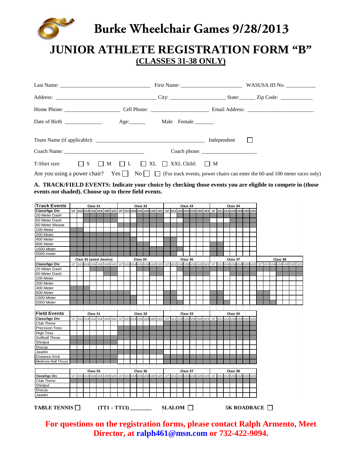

# **Burke Wheelchair Games 9/28/2013**

# **JUNIOR ATHLETE REGISTRATION FORM "B" (CLASSES 31-38 ONLY)**

|                                                                               |  | Coach phone: |                                                                                                                                     |
|-------------------------------------------------------------------------------|--|--------------|-------------------------------------------------------------------------------------------------------------------------------------|
| T-Shirt size: $\Box$ S $\Box$ M $\Box$ L $\Box$ XL $\Box$ XXL Child: $\Box$ M |  |              |                                                                                                                                     |
|                                                                               |  |              | Are you using a power chair? Yes $\Box$ No $\Box$ $\Box$ (For track events, power chairs can enter the 60 and 100 meter races only) |

**A. TRACK/FIELD EVENTS: Indicate your choice by checking those events you are eligible to compete in (those events** *not* **shaded). Choose up to three field events.**

| <b>Track Events</b>   |  | Class 31 |                          |                            |  | Class 32 |  |                                                       | Class 33<br>07 011 014 016 020 023 07 011 014 016 018 020 023 07 011 014 016 018 020 023 |  |  |          |  |                            |  |  |  | Class 34 |                            |  |                                           |  |  |  |  |  |  |  |
|-----------------------|--|----------|--------------------------|----------------------------|--|----------|--|-------------------------------------------------------|------------------------------------------------------------------------------------------|--|--|----------|--|----------------------------|--|--|--|----------|----------------------------|--|-------------------------------------------|--|--|--|--|--|--|--|
| Class/Age Div         |  |          |                          | U7 U11 U14 U16 U18 U20 U23 |  |          |  |                                                       |                                                                                          |  |  |          |  |                            |  |  |  |          |                            |  |                                           |  |  |  |  |  |  |  |
| 20 Meter Dash         |  |          |                          |                            |  |          |  |                                                       |                                                                                          |  |  |          |  |                            |  |  |  |          |                            |  |                                           |  |  |  |  |  |  |  |
| 60 Meter Dash         |  |          |                          |                            |  |          |  |                                                       |                                                                                          |  |  |          |  |                            |  |  |  |          |                            |  |                                           |  |  |  |  |  |  |  |
| 60 Meter Weave        |  |          |                          |                            |  |          |  |                                                       |                                                                                          |  |  |          |  |                            |  |  |  |          |                            |  |                                           |  |  |  |  |  |  |  |
| 100 Meter             |  |          |                          |                            |  |          |  |                                                       |                                                                                          |  |  |          |  |                            |  |  |  |          |                            |  |                                           |  |  |  |  |  |  |  |
| 200 Meter             |  |          |                          |                            |  |          |  |                                                       |                                                                                          |  |  |          |  |                            |  |  |  |          |                            |  |                                           |  |  |  |  |  |  |  |
| 400 Meter             |  |          |                          |                            |  |          |  |                                                       |                                                                                          |  |  |          |  |                            |  |  |  |          |                            |  |                                           |  |  |  |  |  |  |  |
| 800 Meter             |  |          |                          |                            |  |          |  |                                                       |                                                                                          |  |  |          |  |                            |  |  |  |          |                            |  |                                           |  |  |  |  |  |  |  |
| 1500 Meter            |  |          |                          |                            |  |          |  |                                                       |                                                                                          |  |  |          |  |                            |  |  |  |          |                            |  |                                           |  |  |  |  |  |  |  |
| 5000 meter            |  |          |                          |                            |  |          |  |                                                       |                                                                                          |  |  |          |  |                            |  |  |  |          |                            |  |                                           |  |  |  |  |  |  |  |
|                       |  |          | Class 35 (assist device) |                            |  | Class 35 |  |                                                       |                                                                                          |  |  | Class 36 |  |                            |  |  |  | Class 37 |                            |  |                                           |  |  |  |  |  |  |  |
| <b>Class/Age Div</b>  |  |          |                          | U7 U11 U14 U16 U18 U20 U23 |  |          |  | U7 U11 U14 U16 U18 U20 U23                            |                                                                                          |  |  |          |  | U7 U11 U14 U16 U18 U20 U23 |  |  |  |          | U7 U11 U14 U16 U18 U20 U23 |  | Class 38<br>U11 U14 U16 U18 U20 U23<br>U7 |  |  |  |  |  |  |  |
| 20 Meter Dash         |  |          |                          |                            |  |          |  |                                                       |                                                                                          |  |  |          |  |                            |  |  |  |          |                            |  |                                           |  |  |  |  |  |  |  |
| 60 Meter Dash         |  |          |                          |                            |  |          |  |                                                       |                                                                                          |  |  |          |  |                            |  |  |  |          |                            |  |                                           |  |  |  |  |  |  |  |
| 100 Meter             |  |          |                          |                            |  |          |  |                                                       |                                                                                          |  |  |          |  |                            |  |  |  |          |                            |  |                                           |  |  |  |  |  |  |  |
| 200 Meter             |  |          |                          |                            |  |          |  |                                                       |                                                                                          |  |  |          |  |                            |  |  |  |          |                            |  |                                           |  |  |  |  |  |  |  |
| 400 Meter             |  |          |                          |                            |  |          |  |                                                       |                                                                                          |  |  |          |  |                            |  |  |  |          |                            |  |                                           |  |  |  |  |  |  |  |
| 800 Meter             |  |          |                          |                            |  |          |  |                                                       |                                                                                          |  |  |          |  |                            |  |  |  |          |                            |  |                                           |  |  |  |  |  |  |  |
| 1500 Meter            |  |          |                          |                            |  |          |  |                                                       |                                                                                          |  |  |          |  |                            |  |  |  |          |                            |  |                                           |  |  |  |  |  |  |  |
| 5000 Meter            |  |          |                          |                            |  |          |  |                                                       |                                                                                          |  |  |          |  |                            |  |  |  |          |                            |  |                                           |  |  |  |  |  |  |  |
|                       |  |          |                          |                            |  |          |  |                                                       |                                                                                          |  |  |          |  |                            |  |  |  |          |                            |  |                                           |  |  |  |  |  |  |  |
| <b>Field Events</b>   |  | Class 31 |                          |                            |  | Class 32 |  |                                                       |                                                                                          |  |  | Class 33 |  |                            |  |  |  | Class 34 |                            |  |                                           |  |  |  |  |  |  |  |
| <b>Class/Age Div</b>  |  |          |                          | U7 U11 U14 U16 U18 U20 U23 |  |          |  | U7 U11 U14 U16 U18 U20 U23 U7 U11 U14 U16 U18 U20 U23 |                                                                                          |  |  |          |  |                            |  |  |  |          | U7 U11 U14 U16 U18 U20 U23 |  |                                           |  |  |  |  |  |  |  |
| Club Throw            |  |          |                          |                            |  |          |  |                                                       |                                                                                          |  |  |          |  |                            |  |  |  |          |                            |  |                                           |  |  |  |  |  |  |  |
| <b>Precision Toss</b> |  |          |                          |                            |  |          |  |                                                       |                                                                                          |  |  |          |  |                            |  |  |  |          |                            |  |                                           |  |  |  |  |  |  |  |
| <b>High Toss</b>      |  |          |                          |                            |  |          |  |                                                       |                                                                                          |  |  |          |  |                            |  |  |  |          |                            |  |                                           |  |  |  |  |  |  |  |
| Softball Throw        |  |          |                          |                            |  |          |  |                                                       |                                                                                          |  |  |          |  |                            |  |  |  |          |                            |  |                                           |  |  |  |  |  |  |  |
| Shotput               |  |          |                          |                            |  |          |  |                                                       |                                                                                          |  |  |          |  |                            |  |  |  |          |                            |  |                                           |  |  |  |  |  |  |  |
| <b>Discus</b>         |  |          |                          |                            |  |          |  |                                                       |                                                                                          |  |  |          |  |                            |  |  |  |          |                            |  |                                           |  |  |  |  |  |  |  |
| Javelin               |  |          |                          |                            |  |          |  |                                                       |                                                                                          |  |  |          |  |                            |  |  |  |          |                            |  |                                           |  |  |  |  |  |  |  |
| <b>Distance Kick</b>  |  |          |                          |                            |  |          |  |                                                       |                                                                                          |  |  |          |  |                            |  |  |  |          |                            |  |                                           |  |  |  |  |  |  |  |
| Medicine Ball Thrust  |  |          |                          |                            |  |          |  |                                                       |                                                                                          |  |  |          |  |                            |  |  |  |          |                            |  |                                           |  |  |  |  |  |  |  |
|                       |  |          |                          |                            |  |          |  |                                                       |                                                                                          |  |  |          |  |                            |  |  |  |          |                            |  |                                           |  |  |  |  |  |  |  |
|                       |  | Class 35 |                          |                            |  | Class 36 |  |                                                       |                                                                                          |  |  | Class 37 |  |                            |  |  |  | Class 38 |                            |  |                                           |  |  |  |  |  |  |  |
| Class/Age Div         |  |          |                          | U7 U11 U14 U16 U18 U20 U23 |  |          |  | U7 U11 U14 U16 U18 U20 U23                            |                                                                                          |  |  |          |  | U7 U11 U14 U16 U18 U20 U23 |  |  |  |          | U7 U11 U14 U16 U18 U20 U23 |  |                                           |  |  |  |  |  |  |  |
| Club Throw            |  |          |                          |                            |  |          |  |                                                       |                                                                                          |  |  |          |  |                            |  |  |  |          |                            |  |                                           |  |  |  |  |  |  |  |
| Shotput               |  |          |                          |                            |  |          |  |                                                       |                                                                                          |  |  |          |  |                            |  |  |  |          |                            |  |                                           |  |  |  |  |  |  |  |
| <b>Discus</b>         |  |          |                          |                            |  |          |  |                                                       |                                                                                          |  |  |          |  |                            |  |  |  |          |                            |  |                                           |  |  |  |  |  |  |  |
| Javelin               |  |          |                          |                            |  |          |  |                                                       |                                                                                          |  |  |          |  |                            |  |  |  |          |                            |  |                                           |  |  |  |  |  |  |  |
|                       |  |          |                          |                            |  |          |  |                                                       |                                                                                          |  |  |          |  |                            |  |  |  |          |                            |  |                                           |  |  |  |  |  |  |  |

**For questions on the registration forms, please contact Ralph Armento, Meet Director, at [ralph461@msn.com](mailto:ralph461@msn.com) or 732-422-9094.**